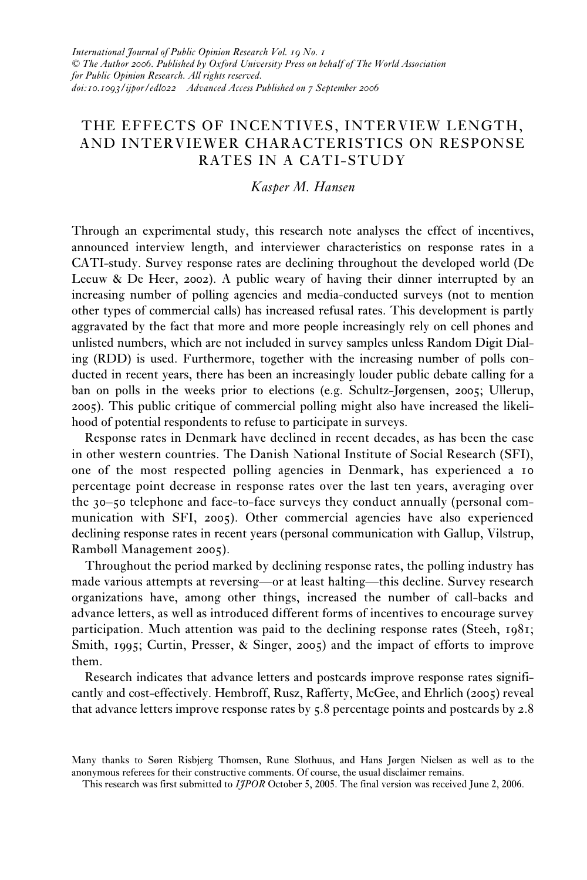# THE EFFECTS OF INCENTIVES, INTERVIEW LENGTH, AND INTERVIEWER CHARACTERISTICS ON RESPONSE RATES IN A CATI-STUDY

## *Kasper M. Hansen*

Through an experimental study, this research note analyses the effect of incentives, announced interview length, and interviewer characteristics on response rates in a CATI-study. Survey response rates are declining throughout the developed world (De Leeuw & De Heer, 2002). A public weary of having their dinner interrupted by an increasing number of polling agencies and media-conducted surveys (not to mention other types of commercial calls) has increased refusal rates. This development is partly aggravated by the fact that more and more people increasingly rely on cell phones and unlisted numbers, which are not included in survey samples unless Random Digit Dialing (RDD) is used. Furthermore, together with the increasing number of polls conducted in recent years, there has been an increasingly louder public debate calling for a ban on polls in the weeks prior to elections (e.g. Schultz-Jørgensen, 2005; Ullerup, 2005). This public critique of commercial polling might also have increased the likelihood of potential respondents to refuse to participate in surveys.

Response rates in Denmark have declined in recent decades, as has been the case in other western countries. The Danish National Institute of Social Research (SFI), one of the most respected polling agencies in Denmark, has experienced a 10 percentage point decrease in response rates over the last ten years, averaging over the 30–50 telephone and face-to-face surveys they conduct annually (personal communication with SFI, 2005). Other commercial agencies have also experienced declining response rates in recent years (personal communication with Gallup, Vilstrup, Rambøll Management 2005).

Throughout the period marked by declining response rates, the polling industry has made various attempts at reversing—or at least halting—this decline. Survey research organizations have, among other things, increased the number of call-backs and advance letters, as well as introduced different forms of incentives to encourage survey participation. Much attention was paid to the declining response rates (Steeh, 1981; Smith, 1995; Curtin, Presser, & Singer, 2005) and the impact of efforts to improve them.

Research indicates that advance letters and postcards improve response rates significantly and cost-effectively. Hembroff, Rusz, Rafferty, McGee, and Ehrlich (2005) reveal that advance letters improve response rates by 5.8 percentage points and postcards by 2.8

Many thanks to Søren Risbjerg Thomsen, Rune Slothuus, and Hans Jørgen Nielsen as well as to the anonymous referees for their constructive comments. Of course, the usual disclaimer remains.

This research was first submitted to *IJPOR* October 5, 2005. The final version was received June 2, 2006.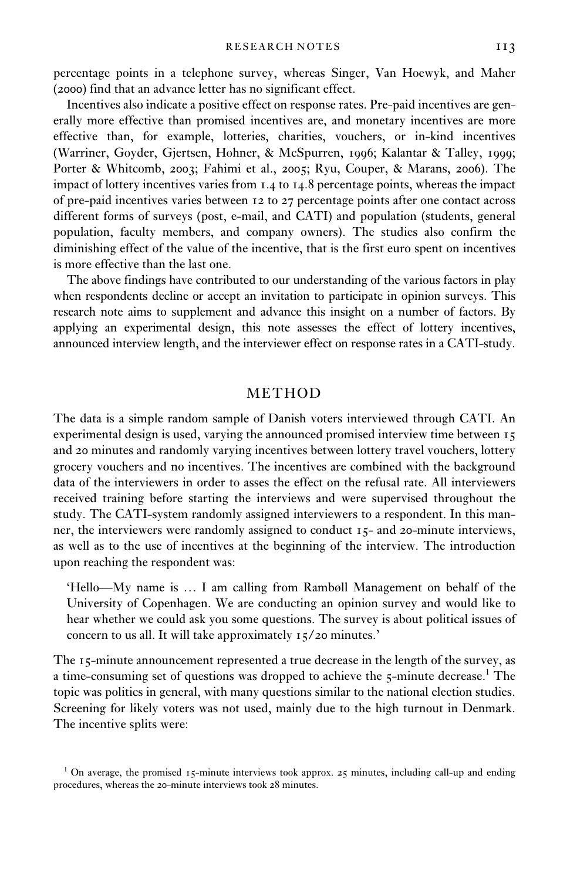percentage points in a telephone survey, whereas Singer, Van Hoewyk, and Maher (2000) find that an advance letter has no significant effect.

Incentives also indicate a positive effect on response rates. Pre-paid incentives are generally more effective than promised incentives are, and monetary incentives are more effective than, for example, lotteries, charities, vouchers, or in-kind incentives (Warriner, Goyder, Gjertsen, Hohner, & McSpurren, 1996; Kalantar & Talley, 1999; Porter & Whitcomb, 2003; Fahimi et al., 2005; Ryu, Couper, & Marans, 2006). The impact of lottery incentives varies from 1.4 to 14.8 percentage points, whereas the impact of pre-paid incentives varies between 12 to 27 percentage points after one contact across different forms of surveys (post, e-mail, and CATI) and population (students, general population, faculty members, and company owners). The studies also confirm the diminishing effect of the value of the incentive, that is the first euro spent on incentives is more effective than the last one.

The above findings have contributed to our understanding of the various factors in play when respondents decline or accept an invitation to participate in opinion surveys. This research note aims to supplement and advance this insight on a number of factors. By applying an experimental design, this note assesses the effect of lottery incentives, announced interview length, and the interviewer effect on response rates in a CATI-study.

### METHOD

The data is a simple random sample of Danish voters interviewed through CATI. An experimental design is used, varying the announced promised interview time between 15 and 20 minutes and randomly varying incentives between lottery travel vouchers, lottery grocery vouchers and no incentives. The incentives are combined with the background data of the interviewers in order to asses the effect on the refusal rate. All interviewers received training before starting the interviews and were supervised throughout the study. The CATI-system randomly assigned interviewers to a respondent. In this manner, the interviewers were randomly assigned to conduct 15- and 20-minute interviews, as well as to the use of incentives at the beginning of the interview. The introduction upon reaching the respondent was:

'Hello—My name is ... I am calling from Rambøll Management on behalf of the University of Copenhagen. We are conducting an opinion survey and would like to hear whether we could ask you some questions. The survey is about political issues of concern to us all. It will take approximately 15/20 minutes.'

The 15-minute announcement represented a true decrease in the length of the survey, as a time-consuming set of questions was dropped to achieve the 5-minute decrease.<sup>1</sup> The topic was politics in general, with many questions similar to the national election studies. Screening for likely voters was not used, mainly due to the high turnout in Denmark. The incentive splits were:

<sup>&</sup>lt;sup>1</sup> On average, the promised 15-minute interviews took approx. 25 minutes, including call-up and ending procedures, whereas the 20-minute interviews took 28 minutes.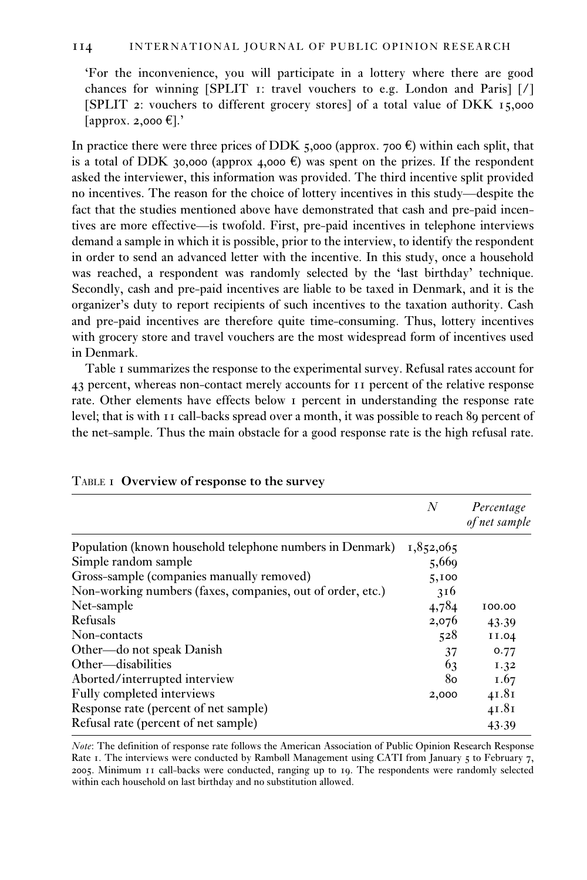'For the inconvenience, you will participate in a lottery where there are good chances for winning [SPLIT 1: travel vouchers to e.g. London and Paris] [/] [SPLIT 2: vouchers to different grocery stores] of a total value of DKK 15,000  $[$ approx. 2,000 $\epsilon$ ].'

In practice there were three prices of DDK 5,000 (approx. 700  $\epsilon$ ) within each split, that is a total of DDK 30,000 (approx 4,000  $\epsilon$ ) was spent on the prizes. If the respondent asked the interviewer, this information was provided. The third incentive split provided no incentives. The reason for the choice of lottery incentives in this study—despite the fact that the studies mentioned above have demonstrated that cash and pre-paid incentives are more effective—is twofold. First, pre-paid incentives in telephone interviews demand a sample in which it is possible, prior to the interview, to identify the respondent in order to send an advanced letter with the incentive. In this study, once a household was reached, a respondent was randomly selected by the 'last birthday' technique. Secondly, cash and pre-paid incentives are liable to be taxed in Denmark, and it is the organizer's duty to report recipients of such incentives to the taxation authority. Cash and pre-paid incentives are therefore quite time-consuming. Thus, lottery incentives with grocery store and travel vouchers are the most widespread form of incentives used in Denmark.

Table 1 summarizes the response to the experimental survey. Refusal rates account for 43 percent, whereas non-contact merely accounts for 11 percent of the relative response rate. Other elements have effects below 1 percent in understanding the response rate level; that is with 11 call-backs spread over a month, it was possible to reach 89 percent of the net-sample. Thus the main obstacle for a good response rate is the high refusal rate.

|                                                            | N         | Percentage<br>of net sample |
|------------------------------------------------------------|-----------|-----------------------------|
| Population (known household telephone numbers in Denmark)  | 1,852,065 |                             |
| Simple random sample                                       | 5,669     |                             |
| Gross-sample (companies manually removed)                  | 5,100     |                             |
| Non-working numbers (faxes, companies, out of order, etc.) | 316       |                             |
| Net-sample                                                 | 4,784     | 100.00                      |
| Refusals                                                   | 2,076     | 43.39                       |
| Non-contacts                                               | 528       | II.04                       |
| Other—do not speak Danish                                  | 37        | 0.77                        |
| Other—disabilities                                         | 63        | I.32                        |
| Aborted/interrupted interview                              | 80        | I.67                        |
| Fully completed interviews                                 | 2,000     | 41.81                       |
| Response rate (percent of net sample)                      |           | 41.81                       |
| Refusal rate (percent of net sample)                       |           | 43.39                       |

*Note*: The definition of response rate follows the American Association of Public Opinion Research Response Rate 1. The interviews were conducted by Rambøll Management using CATI from January 5 to February 7, 2005. Minimum 11 call-backs were conducted, ranging up to 19. The respondents were randomly selected within each household on last birthday and no substitution allowed.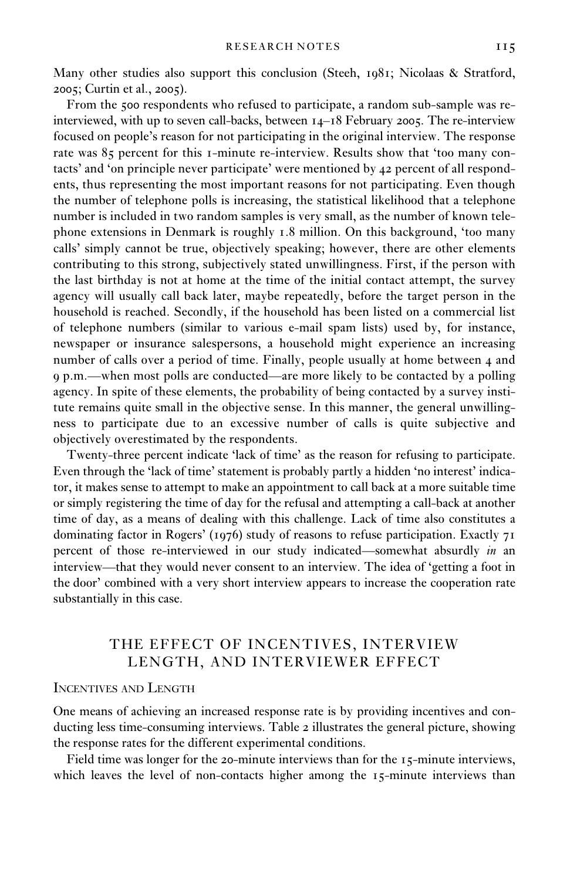Many other studies also support this conclusion (Steeh, 1981; Nicolaas & Stratford, 2005; Curtin et al., 2005).

From the 500 respondents who refused to participate, a random sub-sample was reinterviewed, with up to seven call-backs, between 14–18 February 2005. The re-interview focused on people's reason for not participating in the original interview. The response rate was 85 percent for this 1-minute re-interview. Results show that 'too many contacts' and 'on principle never participate' were mentioned by 42 percent of all respondents, thus representing the most important reasons for not participating. Even though the number of telephone polls is increasing, the statistical likelihood that a telephone number is included in two random samples is very small, as the number of known telephone extensions in Denmark is roughly 1.8 million. On this background, 'too many calls' simply cannot be true, objectively speaking; however, there are other elements contributing to this strong, subjectively stated unwillingness. First, if the person with the last birthday is not at home at the time of the initial contact attempt, the survey agency will usually call back later, maybe repeatedly, before the target person in the household is reached. Secondly, if the household has been listed on a commercial list of telephone numbers (similar to various e-mail spam lists) used by, for instance, newspaper or insurance salespersons, a household might experience an increasing number of calls over a period of time. Finally, people usually at home between 4 and 9 p.m.—when most polls are conducted—are more likely to be contacted by a polling agency. In spite of these elements, the probability of being contacted by a survey institute remains quite small in the objective sense. In this manner, the general unwillingness to participate due to an excessive number of calls is quite subjective and objectively overestimated by the respondents.

Twenty-three percent indicate 'lack of time' as the reason for refusing to participate. Even through the 'lack of time' statement is probably partly a hidden 'no interest' indicator, it makes sense to attempt to make an appointment to call back at a more suitable time or simply registering the time of day for the refusal and attempting a call-back at another time of day, as a means of dealing with this challenge. Lack of time also constitutes a dominating factor in Rogers' (1976) study of reasons to refuse participation. Exactly  $71$ percent of those re-interviewed in our study indicated—somewhat absurdly *in* an interview—that they would never consent to an interview. The idea of 'getting a foot in the door' combined with a very short interview appears to increase the cooperation rate substantially in this case.

# THE EFFECT OF INCENTIVES, INTERVIEW LENGTH, AND INTERVIEWER EFFECT

# INCENTIVES AND LENGTH

One means of achieving an increased response rate is by providing incentives and conducting less time-consuming interviews. Table 2 illustrates the general picture, showing the response rates for the different experimental conditions.

Field time was longer for the 20-minute interviews than for the 15-minute interviews, which leaves the level of non-contacts higher among the 15-minute interviews than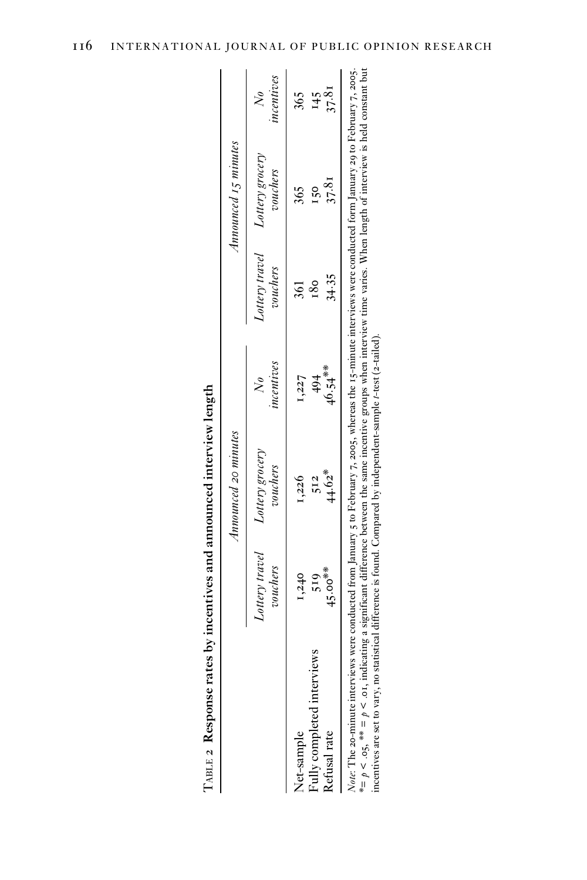|                                                                                                                                                                                                                                                                                                                                                               |                            | Announced 20 minutes        |                        |                            | Announced 15 minutes        |                        |
|---------------------------------------------------------------------------------------------------------------------------------------------------------------------------------------------------------------------------------------------------------------------------------------------------------------------------------------------------------------|----------------------------|-----------------------------|------------------------|----------------------------|-----------------------------|------------------------|
|                                                                                                                                                                                                                                                                                                                                                               | Lottery travel<br>vouchers | Lottery grocery<br>vouchers | incentives<br>$\infty$ | Lottery travel<br>vouchers | Lottery grocery<br>vouchers | incentives<br>$\aleph$ |
| Vet-sample                                                                                                                                                                                                                                                                                                                                                    | 1,240                      | 1,226                       | 1,227                  | 361                        | 365                         | 365                    |
| Fully completed interviews                                                                                                                                                                                                                                                                                                                                    | 519                        | 512                         | $\frac{4}{9}$          | 180                        | $\frac{6}{5}$               | 145                    |
| Refusal rate                                                                                                                                                                                                                                                                                                                                                  | $45.00**$                  | $44.62*$                    | $46.54***$             | 34.35                      | 37.81                       | 37.81                  |
| Note: The 20-minute interviews were conducted from January 5 to February 7, 2005, whereas the 15-minute interviews were conducted form January 29 to February 7, 2005.<br>*= $p \le 0.5$ , ** = $p \le 0.5$ , indicating a significant difference between the same incentive groups when interview time varies. When length of interview is held constant but |                            |                             |                        |                            |                             |                        |

TABLE 2 Response rates by incentives and announced interview length TABLE 2 **Response rates by incentives and announced interview length**

incentives are set to vary, no statistical difference is found. Compared by independent-sample t-test (2-tailed). incentives are set to vary, no statistical difference is found. Compared by independent-sample *t*-test (2-tailed).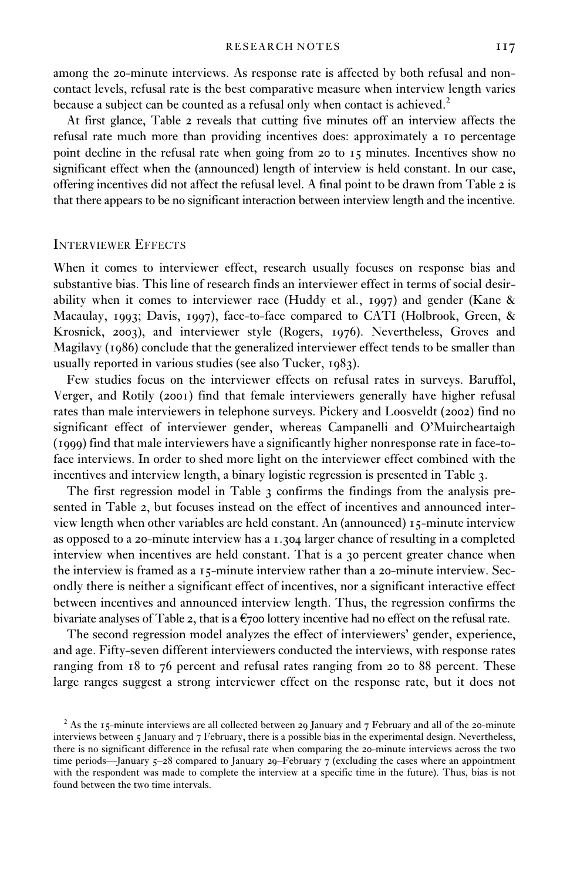among the 20-minute interviews. As response rate is affected by both refusal and noncontact levels, refusal rate is the best comparative measure when interview length varies because a subject can be counted as a refusal only when contact is achieved.<sup>2</sup>

At first glance, Table 2 reveals that cutting five minutes off an interview affects the refusal rate much more than providing incentives does: approximately a 10 percentage point decline in the refusal rate when going from 20 to 15 minutes. Incentives show no significant effect when the (announced) length of interview is held constant. In our case, offering incentives did not affect the refusal level. A final point to be drawn from Table 2 is that there appears to be no significant interaction between interview length and the incentive.

### INTERVIEWER EFFECTS

When it comes to interviewer effect, research usually focuses on response bias and substantive bias. This line of research finds an interviewer effect in terms of social desirability when it comes to interviewer race (Huddy et al., 1997) and gender (Kane & Macaulay, 1993; Davis, 1997), face-to-face compared to CATI (Holbrook, Green, & Krosnick, 2003), and interviewer style (Rogers, 1976). Nevertheless, Groves and Magilavy (1986) conclude that the generalized interviewer effect tends to be smaller than usually reported in various studies (see also Tucker, 1983).

Few studies focus on the interviewer effects on refusal rates in surveys. Baruffol, Verger, and Rotily (2001) find that female interviewers generally have higher refusal rates than male interviewers in telephone surveys. Pickery and Loosveldt (2002) find no significant effect of interviewer gender, whereas Campanelli and O'Muircheartaigh (1999) find that male interviewers have a significantly higher nonresponse rate in face-toface interviews. In order to shed more light on the interviewer effect combined with the incentives and interview length, a binary logistic regression is presented in Table 3.

The first regression model in Table 3 confirms the findings from the analysis presented in Table 2, but focuses instead on the effect of incentives and announced interview length when other variables are held constant. An (announced) 15-minute interview as opposed to a 20-minute interview has a 1.304 larger chance of resulting in a completed interview when incentives are held constant. That is a 30 percent greater chance when the interview is framed as a 15-minute interview rather than a 20-minute interview. Secondly there is neither a significant effect of incentives, nor a significant interactive effect between incentives and announced interview length. Thus, the regression confirms the bivariate analyses of Table 2, that is a  $\epsilon$ 700 lottery incentive had no effect on the refusal rate.

The second regression model analyzes the effect of interviewers' gender, experience, and age. Fifty-seven different interviewers conducted the interviews, with response rates ranging from 18 to 76 percent and refusal rates ranging from 20 to 88 percent. These large ranges suggest a strong interviewer effect on the response rate, but it does not

<sup>&</sup>lt;sup>2</sup> As the 15-minute interviews are all collected between 29 January and 7 February and all of the 20-minute interviews between 5 January and 7 February, there is a possible bias in the experimental design. Nevertheless, there is no significant difference in the refusal rate when comparing the 20-minute interviews across the two time periods—January 5–28 compared to January 29–February 7 (excluding the cases where an appointment with the respondent was made to complete the interview at a specific time in the future). Thus, bias is not found between the two time intervals.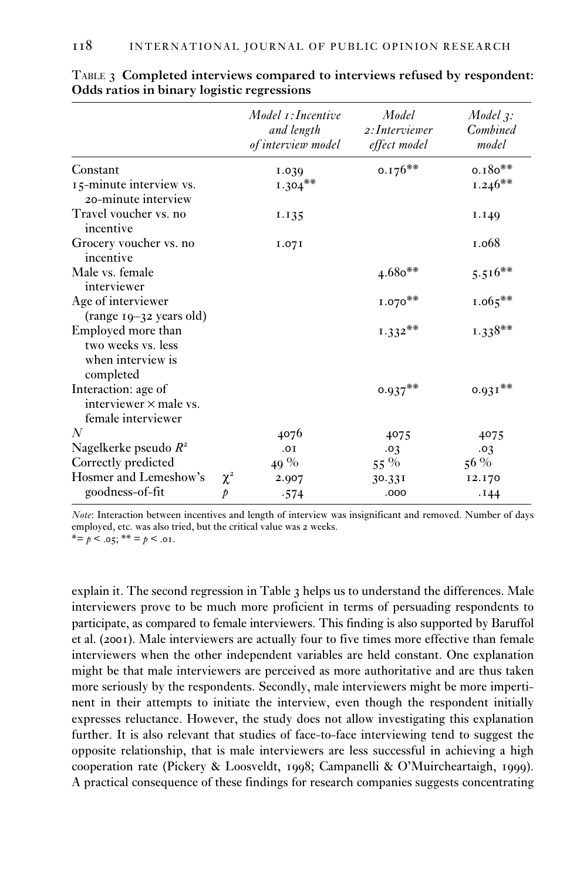|                                                                            |               | $Model~\tau:Incentive$<br>and length<br>of interview model | Model<br>2: Interviewer<br>effect model | $Model$ 3:<br><b>Combined</b><br>model |
|----------------------------------------------------------------------------|---------------|------------------------------------------------------------|-----------------------------------------|----------------------------------------|
| Constant                                                                   |               | 1.039                                                      | $0.176**$                               | $0.180**$                              |
| 15-minute interview vs.<br>20-minute interview                             |               | $1.304***$                                                 |                                         | $1.246**$                              |
| Travel voucher vs. no<br>incentive                                         |               | 1.135                                                      |                                         | I.I49                                  |
| Grocery voucher vs. no<br>incentive                                        |               | I.07I                                                      |                                         | 1.068                                  |
| Male vs. female<br>interviewer                                             |               |                                                            | $4.680**$                               | $5.516**$                              |
| Age of interviewer<br>(range 19-32 years old)                              |               |                                                            | $1.070**$                               | $1.065***$                             |
| Employed more than<br>two weeks vs. less<br>when interview is<br>completed |               |                                                            | $1.332**$                               | $1.338**$                              |
| Interaction: age of<br>interviewer $\times$ male vs.<br>female interviewer |               |                                                            | $0.937**$                               | $0.931**$                              |
| N                                                                          |               | 4076                                                       | 4075                                    | 4075                                   |
| Nagelkerke pseudo $R^2$                                                    |               | .OI                                                        | .03                                     | .03                                    |
| Correctly predicted                                                        |               | 49 %                                                       | 55 %                                    | $56\%$                                 |
| Hosmer and Lemeshow's                                                      | $\chi^2$      | 2.907                                                      | 30.331                                  | 12.170                                 |
| goodness-of-fit                                                            | $\mathcal{P}$ | .574                                                       | .000                                    | .144                                   |

| TABLE 3 Completed interviews compared to interviews refused by respondent: |  |  |  |
|----------------------------------------------------------------------------|--|--|--|
| Odds ratios in binary logistic regressions                                 |  |  |  |

*Note*: Interaction between incentives and length of interview was insignificant and removed. Number of days employed, etc. was also tried, but the critical value was 2 weeks.

\*=  $p$  < .05; \*\* =  $p$  < .01.

explain it. The second regression in Table 3 helps us to understand the differences. Male interviewers prove to be much more proficient in terms of persuading respondents to participate, as compared to female interviewers. This finding is also supported by Baruffol et al. (2001). Male interviewers are actually four to five times more effective than female interviewers when the other independent variables are held constant. One explanation might be that male interviewers are perceived as more authoritative and are thus taken more seriously by the respondents. Secondly, male interviewers might be more impertinent in their attempts to initiate the interview, even though the respondent initially expresses reluctance. However, the study does not allow investigating this explanation further. It is also relevant that studies of face-to-face interviewing tend to suggest the opposite relationship, that is male interviewers are less successful in achieving a high cooperation rate (Pickery & Loosveldt, 1998; Campanelli & O'Muircheartaigh, 1999). A practical consequence of these findings for research companies suggests concentrating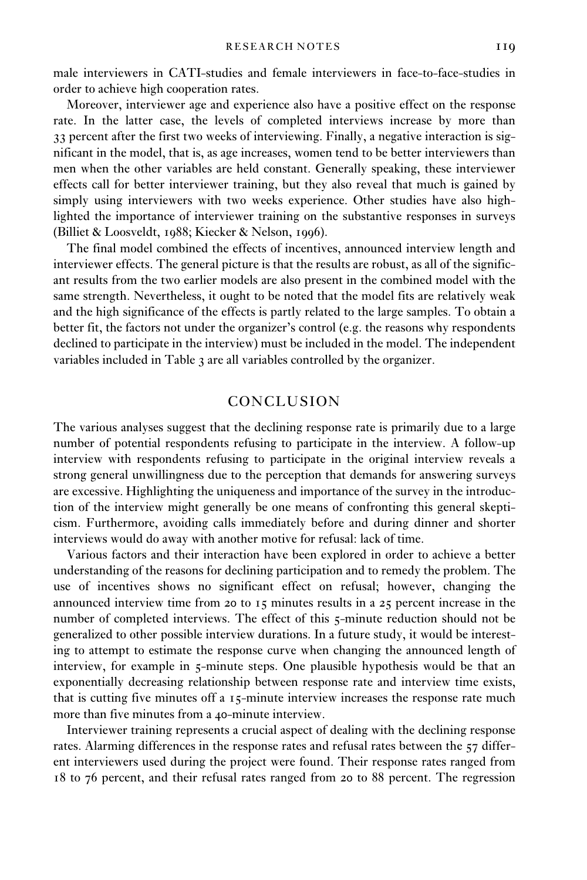male interviewers in CATI-studies and female interviewers in face-to-face-studies in order to achieve high cooperation rates.

Moreover, interviewer age and experience also have a positive effect on the response rate. In the latter case, the levels of completed interviews increase by more than 33 percent after the first two weeks of interviewing. Finally, a negative interaction is significant in the model, that is, as age increases, women tend to be better interviewers than men when the other variables are held constant. Generally speaking, these interviewer effects call for better interviewer training, but they also reveal that much is gained by simply using interviewers with two weeks experience. Other studies have also highlighted the importance of interviewer training on the substantive responses in surveys (Billiet & Loosveldt, 1988; Kiecker & Nelson, 1996).

The final model combined the effects of incentives, announced interview length and interviewer effects. The general picture is that the results are robust, as all of the significant results from the two earlier models are also present in the combined model with the same strength. Nevertheless, it ought to be noted that the model fits are relatively weak and the high significance of the effects is partly related to the large samples. To obtain a better fit, the factors not under the organizer's control (e.g. the reasons why respondents declined to participate in the interview) must be included in the model. The independent variables included in Table 3 are all variables controlled by the organizer.

### CONCLUSION

The various analyses suggest that the declining response rate is primarily due to a large number of potential respondents refusing to participate in the interview. A follow-up interview with respondents refusing to participate in the original interview reveals a strong general unwillingness due to the perception that demands for answering surveys are excessive. Highlighting the uniqueness and importance of the survey in the introduction of the interview might generally be one means of confronting this general skepticism. Furthermore, avoiding calls immediately before and during dinner and shorter interviews would do away with another motive for refusal: lack of time.

Various factors and their interaction have been explored in order to achieve a better understanding of the reasons for declining participation and to remedy the problem. The use of incentives shows no significant effect on refusal; however, changing the announced interview time from 20 to 15 minutes results in a 25 percent increase in the number of completed interviews. The effect of this 5-minute reduction should not be generalized to other possible interview durations. In a future study, it would be interesting to attempt to estimate the response curve when changing the announced length of interview, for example in 5-minute steps. One plausible hypothesis would be that an exponentially decreasing relationship between response rate and interview time exists, that is cutting five minutes off a 15-minute interview increases the response rate much more than five minutes from a 40-minute interview.

Interviewer training represents a crucial aspect of dealing with the declining response rates. Alarming differences in the response rates and refusal rates between the 57 different interviewers used during the project were found. Their response rates ranged from 18 to 76 percent, and their refusal rates ranged from 20 to 88 percent. The regression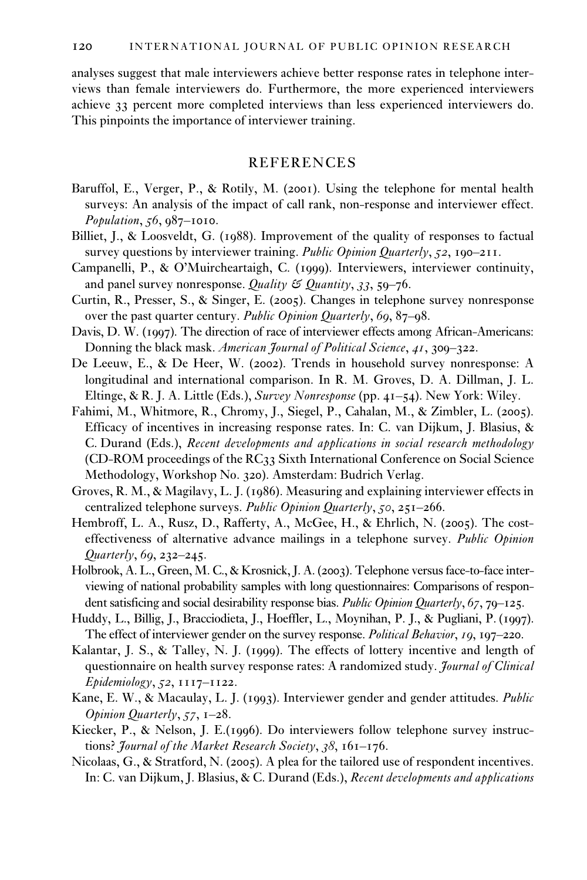analyses suggest that male interviewers achieve better response rates in telephone interviews than female interviewers do. Furthermore, the more experienced interviewers achieve 33 percent more completed interviews than less experienced interviewers do. This pinpoints the importance of interviewer training.

## REFERENCES

- Baruffol, E., Verger, P., & Rotily, M. (2001). Using the telephone for mental health surveys: An analysis of the impact of call rank, non-response and interviewer effect. *Population*, *56*,  $987-1010$ .
- Billiet, J., & Loosveldt, G. (1988). Improvement of the quality of responses to factual survey questions by interviewer training. *Public Opinion Quarterly*, *52*, 190–211.
- Campanelli, P., & O'Muircheartaigh, C. (1999). Interviewers, interviewer continuity, and panel survey nonresponse. *Quality & Quantity*, *33*, 59–76.
- Curtin, R., Presser, S., & Singer, E. (2005). Changes in telephone survey nonresponse over the past quarter century. *Public Opinion Quarterly*, *69*, 87–98.
- Davis, D. W. (1997). The direction of race of interviewer effects among African-Americans: Donning the black mask. *American Journal of Political Science*, *41*, 309–322.
- De Leeuw, E., & De Heer, W. (2002). Trends in household survey nonresponse: A longitudinal and international comparison. In R. M. Groves, D. A. Dillman, J. L. Eltinge, & R. J. A. Little (Eds.), *Survey Nonresponse* (pp. 41–54). New York: Wiley.
- Fahimi, M., Whitmore, R., Chromy, J., Siegel, P., Cahalan, M., & Zimbler, L. (2005). Efficacy of incentives in increasing response rates. In: C. van Dijkum, J. Blasius, & C. Durand (Eds.), *Recent developments and applications in social research methodology* (CD-ROM proceedings of the RC33 Sixth International Conference on Social Science Methodology, Workshop No. 320). Amsterdam: Budrich Verlag.
- Groves, R. M., & Magilavy, L. J. (1986). Measuring and explaining interviewer effects in centralized telephone surveys. *Public Opinion Quarterly*, *50*, 251–266.
- Hembroff, L. A., Rusz, D., Rafferty, A., McGee, H., & Ehrlich, N. (2005). The costeffectiveness of alternative advance mailings in a telephone survey. *Public Opinion Quarterly*, *69*, 232–245.
- Holbrook, A. L., Green, M. C., & Krosnick, J. A. (2003). Telephone versus face-to-face interviewing of national probability samples with long questionnaires: Comparisons of respondent satisficing and social desirability response bias. *Public Opinion Quarterly*, *67*, 79–125.
- Huddy, L., Billig, J., Bracciodieta, J., Hoeffler, L., Moynihan, P. J., & Pugliani, P. (1997). The effect of interviewer gender on the survey response. *Political Behavior*, *19*, 197–220.
- Kalantar, J. S., & Talley, N. J. (1999). The effects of lottery incentive and length of questionnaire on health survey response rates: A randomized study. *Journal of Clinical Epidemiology*, *52*, 1117–1122.
- Kane, E. W., & Macaulay, L. J. (1993). Interviewer gender and gender attitudes. *Public Opinion Quarterly*, *57*, 1–28.
- Kiecker, P., & Nelson, J. E.(1996). Do interviewers follow telephone survey instructions? *Journal of the Market Research Society*, *38*, 161–176.
- Nicolaas, G., & Stratford, N. (2005). A plea for the tailored use of respondent incentives. In: C. van Dijkum, J. Blasius, & C. Durand (Eds.), *Recent developments and applications*